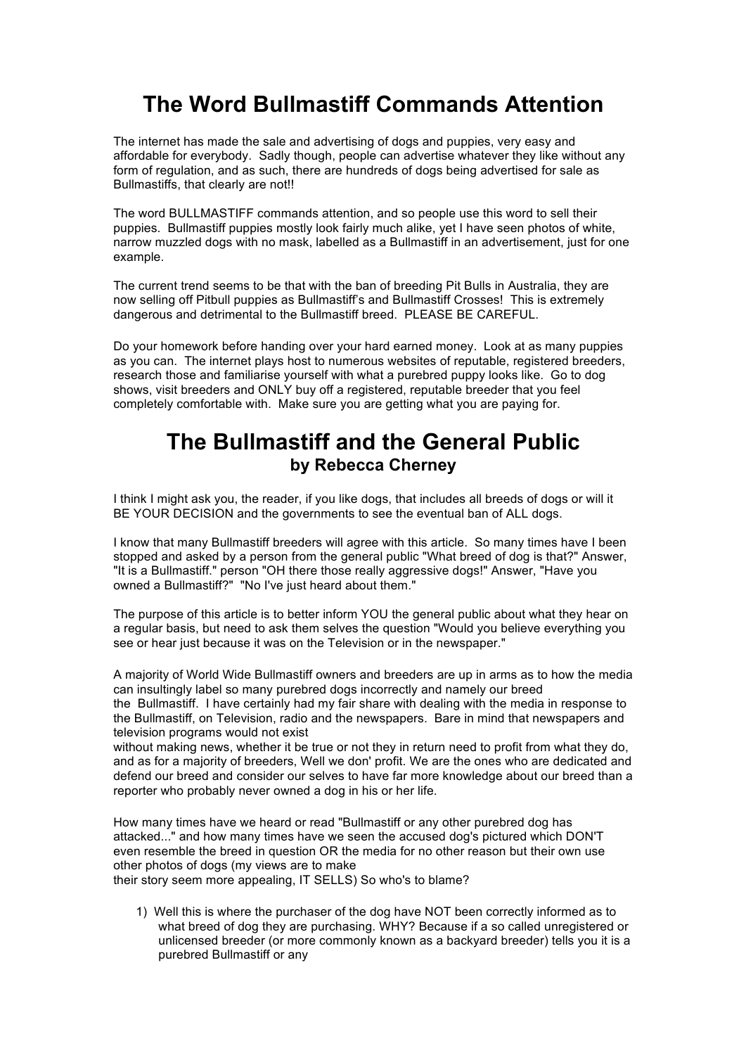## **The Word Bullmastiff Commands Attention**

The internet has made the sale and advertising of dogs and puppies, very easy and affordable for everybody. Sadly though, people can advertise whatever they like without any form of regulation, and as such, there are hundreds of dogs being advertised for sale as Bullmastiffs, that clearly are not!!

The word BULLMASTIFF commands attention, and so people use this word to sell their puppies. Bullmastiff puppies mostly look fairly much alike, yet I have seen photos of white, narrow muzzled dogs with no mask, labelled as a Bullmastiff in an advertisement, just for one example.

The current trend seems to be that with the ban of breeding Pit Bulls in Australia, they are now selling off Pitbull puppies as Bullmastiff's and Bullmastiff Crosses! This is extremely dangerous and detrimental to the Bullmastiff breed. PLEASE BE CAREFUL.

Do your homework before handing over your hard earned money. Look at as many puppies as you can. The internet plays host to numerous websites of reputable, registered breeders, research those and familiarise yourself with what a purebred puppy looks like. Go to dog shows, visit breeders and ONLY buy off a registered, reputable breeder that you feel completely comfortable with. Make sure you are getting what you are paying for.

## **The Bullmastiff and the General Public by Rebecca Cherney**

I think I might ask you, the reader, if you like dogs, that includes all breeds of dogs or will it BE YOUR DECISION and the governments to see the eventual ban of ALL dogs.

I know that many Bullmastiff breeders will agree with this article. So many times have I been stopped and asked by a person from the general public "What breed of dog is that?" Answer, "It is a Bullmastiff." person "OH there those really aggressive dogs!" Answer, "Have you owned a Bullmastiff?" "No I've just heard about them."

The purpose of this article is to better inform YOU the general public about what they hear on a regular basis, but need to ask them selves the question "Would you believe everything you see or hear just because it was on the Television or in the newspaper."

A majority of World Wide Bullmastiff owners and breeders are up in arms as to how the media can insultingly label so many purebred dogs incorrectly and namely our breed the Bullmastiff. I have certainly had my fair share with dealing with the media in response to the Bullmastiff, on Television, radio and the newspapers. Bare in mind that newspapers and television programs would not exist

without making news, whether it be true or not they in return need to profit from what they do, and as for a majority of breeders, Well we don' profit. We are the ones who are dedicated and defend our breed and consider our selves to have far more knowledge about our breed than a reporter who probably never owned a dog in his or her life.

How many times have we heard or read "Bullmastiff or any other purebred dog has attacked..." and how many times have we seen the accused dog's pictured which DON'T even resemble the breed in question OR the media for no other reason but their own use other photos of dogs (my views are to make

their story seem more appealing, IT SELLS) So who's to blame?

1) Well this is where the purchaser of the dog have NOT been correctly informed as to what breed of dog they are purchasing. WHY? Because if a so called unregistered or unlicensed breeder (or more commonly known as a backyard breeder) tells you it is a purebred Bullmastiff or any